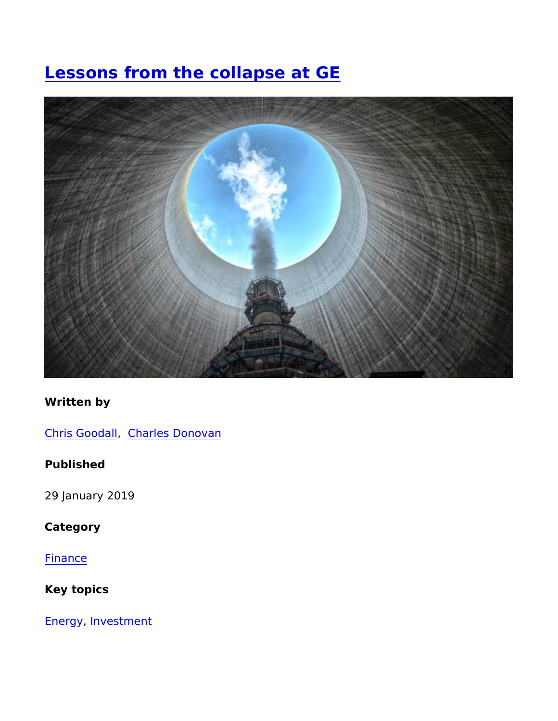# [Lessons from the collapse](https://www.imperial.ac.uk/business-school/ib-knowledge/finance/lessons-the-collapse-ge) at GE

Written by

[Chris Goo](https://www.imperial.ac.uk/business-school/authors/cgoodall), d@ hlarles Donovan

Published

29 January 2019

Category

[Finan](https://www.imperial.ac.uk/business-school/category/knowledge-categories/finance)ce

Key topics

[Ener](https://www.imperial.ac.uk/business-school/category/key-topics/energy)gynvestment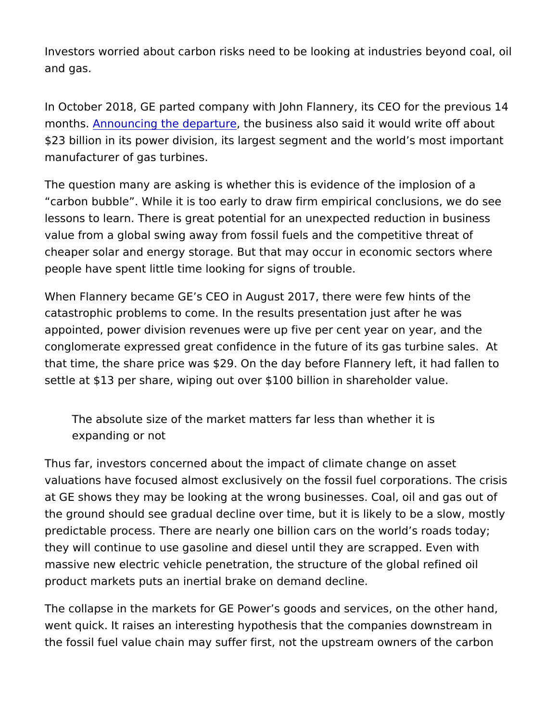Investors worried about carbon risks need to be looking at indust and gas.

In October 2018, GE parted company with John Flannery, its CEO monthsAnnouncing the depathteurbeusiness also said it would write of \$23 billion in its power division, its largest segment and the worl manufacturer of gas turbines.

The question many are asking is whether this is evidence of the i carbon bubble. While it is too early to draw firm empirical concl lessons to learn. There is great potential for an unexpected reduc value from a global swing away from fossil fuels and the competit cheaper solar and energy storage. But that may occur in economic people have spent little time looking for signs of trouble.

When Flannery became GE s CEO in August 2017, there were few catastrophic problems to come. In the results presentation just af appointed, power division revenues were up five per cent year on conglomerate expressed great confidence in the future of its gas that time, the share price was \$29. On the day before Flannery le settle at \$13 per share, wiping out over \$100 billion in sharehold

The absolute size of the market matters far less than whether expanding or not

Thus far, investors concerned about the impact of climate change valuations have focused almost exclusively on the fossil fuel corp at GE shows they may be looking at the wrong businesses. Coal, the ground should see gradual decline over time, but it is likely t predictable process. There are nearly one billion cars on the wor they will continue to use gasoline and diesel until they are scrap massive new electric vehicle penetration, the structure of the glo product markets puts an inertial brake on demand decline.

The collapse in the markets for GE Power s goods and services, on went quick. It raises an interesting hypothesis that the companies the fossil fuel value chain may suffer first, not the upstream own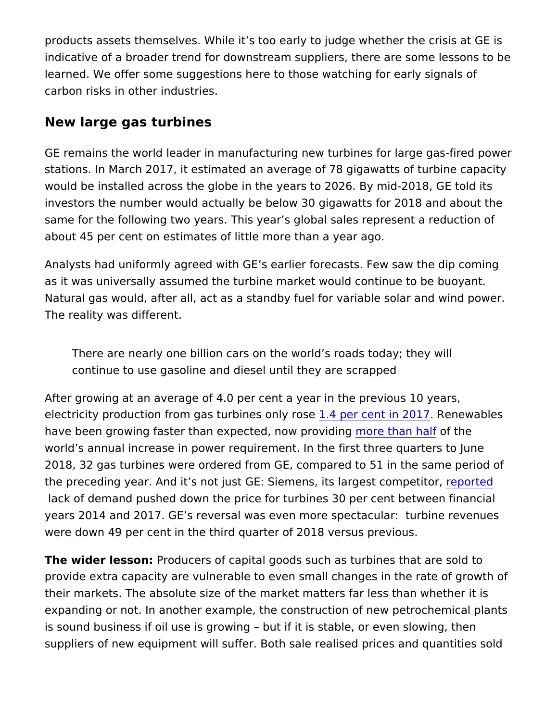products assets themselves. While it s too early to judge whether indicative of a broader trend for downstream suppliers, there are learned. We offer some suggestions here to those watching for ea carbon risks in other industries.

#### New large gas turbines

GE remains the world leader in manufacturing new turbines for la stations. In March 2017, it estimated an average of 78 gigawatts would be installed across the globe in the years to 2026. By midinvestors the number would actually be below 30 gigawatts for 20 same for the following two years. This year s global sales represe about 45 per cent on estimates of little more than a year ago.

Analysts had uniformly agreed with GE s earlier forecasts. Few sa as it was universally assumed the turbine market would continue Natural gas would, after all, act as a standby fuel for variable so The reality was different.

There are nearly one billion cars on the world s roads today; continue to use gasoline and diesel until they are scrapped

After growing at an average of 4.0 per cent a year in the previous electricity production from gas turb1n4espenloyenoisien. 2ROe1n7e wables have been growing faster than expected mooe than on indefinition e world s annual increase in power requirement. In the first three q 2018, 32 gas turbines were ordered from GE, compared to 51 in th the preceding year. And it s not just GE: Siemens, intespbant gelst com lack of demand pushed down the price for turbines 30 per cent b years 2014 and 2017. GE s reversal was even more spectacular: were down 49 per cent in the third quarter of 2018 versus previou

The wider less@roducers of capital goods such as turbines that a provide extra capacity are vulnerable to even small changes in th their markets. The absolute size of the market matters far less th expanding or not. In another example, the construction of new pe is sound business if oil use is growing but if it is stable, or eve suppliers of new equipment will suffer. Both sale realised prices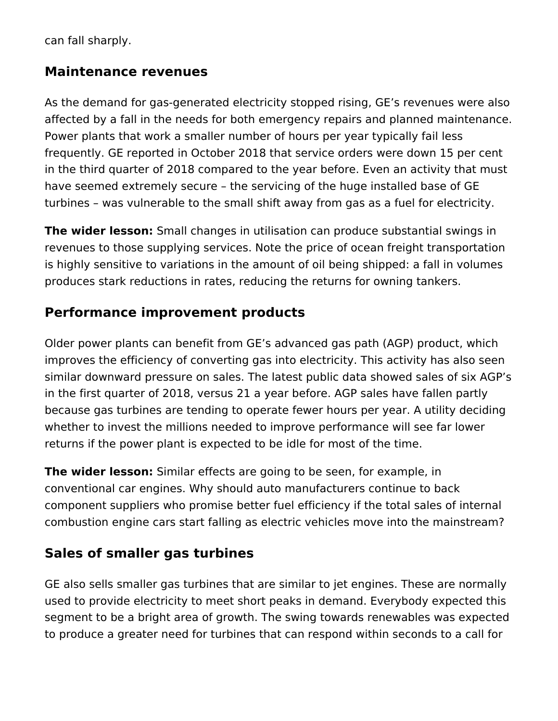can fall sharply.

### **Maintenance revenues**

As the demand for gas-generated electricity stopped rising, GE's revenues were also affected by a fall in the needs for both emergency repairs and planned maintenance. Power plants that work a smaller number of hours per year typically fail less frequently. GE reported in October 2018 that service orders were down 15 per cent in the third quarter of 2018 compared to the year before. Even an activity that must have seemed extremely secure – the servicing of the huge installed base of GE turbines – was vulnerable to the small shift away from gas as a fuel for electricity.

**The wider lesson:** Small changes in utilisation can produce substantial swings in revenues to those supplying services. Note the price of ocean freight transportation is highly sensitive to variations in the amount of oil being shipped: a fall in volumes produces stark reductions in rates, reducing the returns for owning tankers.

# **Performance improvement products**

Older power plants can benefit from GE's advanced gas path (AGP) product, which improves the efficiency of converting gas into electricity. This activity has also seen similar downward pressure on sales. The latest public data showed sales of six AGP's in the first quarter of 2018, versus 21 a year before. AGP sales have fallen partly because gas turbines are tending to operate fewer hours per year. A utility deciding whether to invest the millions needed to improve performance will see far lower returns if the power plant is expected to be idle for most of the time.

**The wider lesson:** Similar effects are going to be seen, for example, in conventional car engines. Why should auto manufacturers continue to back component suppliers who promise better fuel efficiency if the total sales of internal combustion engine cars start falling as electric vehicles move into the mainstream?

# **Sales of smaller gas turbines**

GE also sells smaller gas turbines that are similar to jet engines. These are normally used to provide electricity to meet short peaks in demand. Everybody expected this segment to be a bright area of growth. The swing towards renewables was expected to produce a greater need for turbines that can respond within seconds to a call for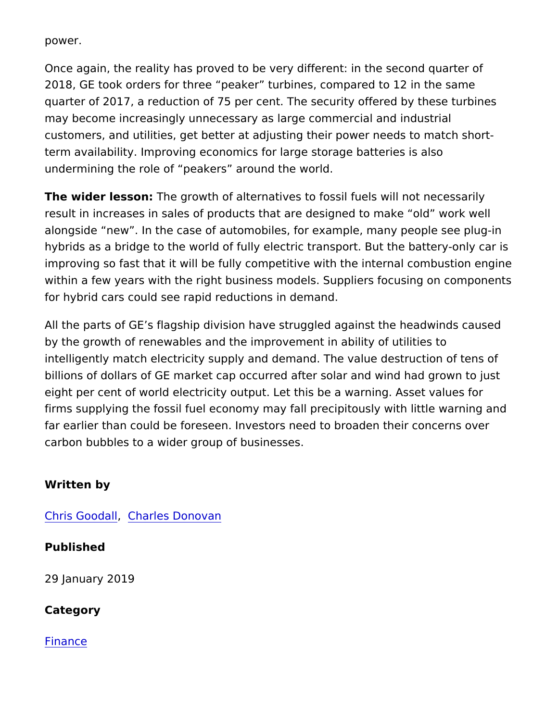power.

Once again, the reality has proved to be very different: in the sequence 2018, GE took orders for three peaker turbines, compared to 12 quarter of 2017, a reduction of 75 per cent. The security offered may become increasingly unnecessary as large commercial and in customers, and utilities, get better at adjusting their power needs term availability. Improving economics for large storage batteries undermining the role of peakers around the world.

The wider less of the growth of alternatives to fossil fuels will not necessarily result in increases in sales of products that are designed to make alongside new . In the case of automobiles, for example, many p hybrids as a bridge to the world of fully electric transport. But the improving so fast that it will be fully competitive with the internal within a few years with the right business models. Suppliers focu for hybrid cars could see rapid reductions in demand.

All the parts of GE s flagship division have struggled against the by the growth of renewables and the improvement in ability of uti intelligently match electricity supply and demand. The value dest billions of dollars of GE market cap occurred after solar and wind eight per cent of world electricity output. Let this be a warning.  $A$ firms supplying the fossil fuel economy may fall precipitously wit far earlier than could be foreseen. Investors need to broaden the carbon bubbles to a wider group of businesses.

Written by

[Chris Goo](https://www.imperial.ac.uk/business-school/authors/cgoodall)d@hlarles Donovan

Published

29 January 2019

Category

[Finan](https://www.imperial.ac.uk/business-school/category/knowledge-categories/finance)ce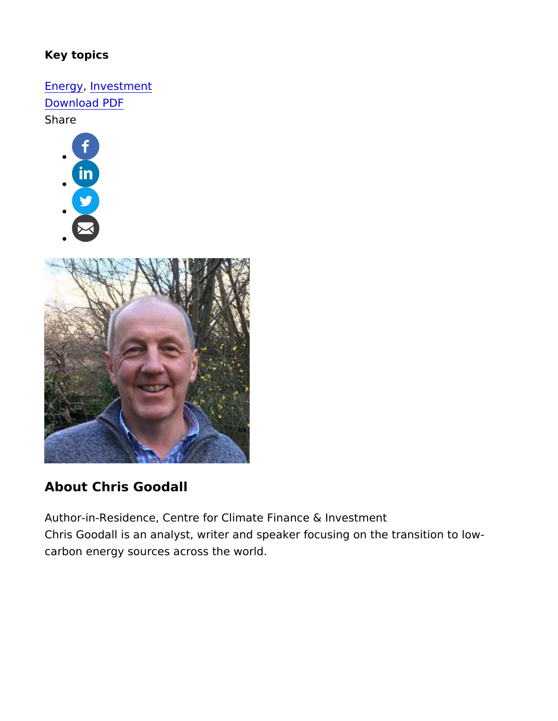Key topics

[Ener](https://www.imperial.ac.uk/business-school/category/key-topics/energy)gynvestment [Download](https://www.imperial.ac.uk/business-school/print/pdf/node/4211) PDF Share



## About Chris Goodall

Author-in-Residence, Centre for Climate Finance & Investment Chris Goodall is an analyst, writer and speaker focusing on the tr carbon energy sources across the world.